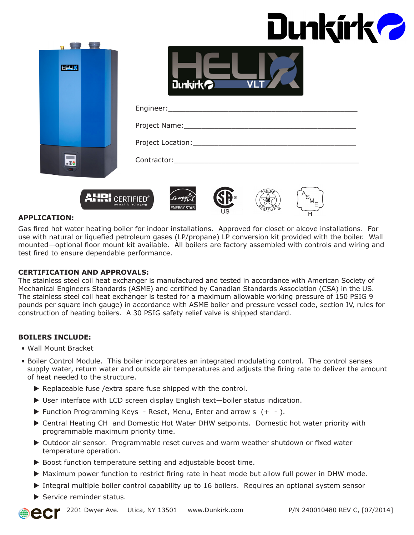| Dunkírk? |  |
|----------|--|
|----------|--|



| <b>Dunkirkol</b> |  |
|------------------|--|

| Project Location: __________ |
|------------------------------|
| Contractor:                  |







#### **APPLICATION:**

Gas fired hot water heating boiler for indoor installations. Approved for closet or alcove installations. For use with natural or liquefied petroleum gases (LP/propane) LP conversion kit provided with the boiler. Wall mounted—optional floor mount kit available. All boilers are factory assembled with controls and wiring and test fired to ensure dependable performance.

#### **CERTIFICATION AND APPROVALS:**

The stainless steel coil heat exchanger is manufactured and tested in accordance with American Society of Mechanical Engineers Standards (ASME) and certified by Canadian Standards Association (CSA) in the US. The stainless steel coil heat exchanger is tested for a maximum allowable working pressure of 150 PSIG 9 pounds per square inch gauge) in accordance with ASME boiler and pressure vessel code, section IV, rules for construction of heating boilers. A 30 PSIG safety relief valve is shipped standard.

#### **BOILERS INCLUDE:**

- Wall Mount Bracket
- Boiler Control Module. This boiler incorporates an integrated modulating control. The control senses supply water, return water and outside air temperatures and adjusts the firing rate to deliver the amount of heat needed to the structure.
	- $\blacktriangleright$  Replaceable fuse /extra spare fuse shipped with the control.
	- $\triangleright$  User interface with LCD screen display English text-boiler status indication.
	- $\blacktriangleright$  Function Programming Keys Reset, Menu, Enter and arrow s  $(+ -)$ .
	- ▶ Central Heating CH and Domestic Hot Water DHW setpoints. Domestic hot water priority with programmable maximum priority time.
	- ▶ Outdoor air sensor. Programmable reset curves and warm weather shutdown or fixed water temperature operation.
	- $\triangleright$  Boost function temperature setting and adjustable boost time.
	- $\blacktriangleright$  Maximum power function to restrict firing rate in heat mode but allow full power in DHW mode.
	- $\triangleright$  Integral multiple boiler control capability up to 16 boilers. Requires an optional system sensor
	- $\blacktriangleright$  Service reminder status.

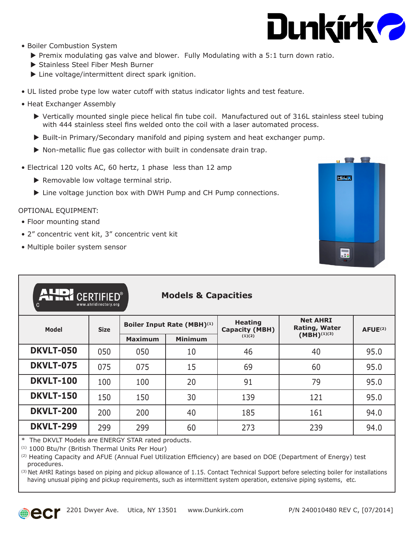

- Boiler Combustion System
	- $\triangleright$  Premix modulating gas valve and blower. Fully Modulating with a 5:1 turn down ratio.
	- Stainless Steel Fiber Mesh Burner
	- $\blacktriangleright$  Line voltage/intermittent direct spark ignition.
- UL listed probe type low water cutoff with status indicator lights and test feature.
- Heat Exchanger Assembly
	- $\triangleright$  Vertically mounted single piece helical fin tube coil. Manufactured out of 316L stainless steel tubing with 444 stainless steel fins welded onto the coil with a laser automated process.
	- $\triangleright$  Built-in Primary/Secondary manifold and piping system and heat exchanger pump.
	- $\triangleright$  Non-metallic flue gas collector with built in condensate drain trap.
- Electrical 120 volts AC, 60 hertz, 1 phase less than 12 amp
	- $\blacktriangleright$  Removable low voltage terminal strip.
	- $\blacktriangleright$  Line voltage junction box with DWH Pump and CH Pump connections.

#### OPTIONAL EQUIPMENT:

- Floor mounting stand
- 2" concentric vent kit, 3" concentric vent kit
- Multiple boiler system sensor



| AUDI CERTIFIED®<br><b>Models &amp; Capacities</b><br>www.ahridirectory.org<br>C |             |                            |                |                                         |                                         |               |
|---------------------------------------------------------------------------------|-------------|----------------------------|----------------|-----------------------------------------|-----------------------------------------|---------------|
| <b>Model</b>                                                                    | <b>Size</b> | Boiler Input Rate (MBH)(1) |                | <b>Heating</b><br><b>Capacity (MBH)</b> | <b>Net AHRI</b><br><b>Rating, Water</b> | $A$ FUE $(2)$ |
|                                                                                 |             | <b>Maximum</b>             | <b>Minimum</b> | (1)(2)                                  | $(MBH)^{(1)(3)}$                        |               |
| <b>DKVLT-050</b>                                                                | 050         | 050                        | 10             | 46                                      | 40                                      | 95.0          |
| <b>DKVLT-075</b>                                                                | 075         | 075                        | 15             | 69                                      | 60                                      | 95.0          |
| <b>DKVLT-100</b>                                                                | 100         | 100                        | 20             | 91                                      | 79                                      | 95.0          |
| <b>DKVLT-150</b>                                                                | 150         | 150                        | 30             | 139                                     | 121                                     | 95.0          |
| <b>DKVLT-200</b>                                                                | 200         | 200                        | 40             | 185                                     | 161                                     | 94.0          |
| <b>DKVLT-299</b>                                                                | 299         | 299                        | 60             | 273                                     | 239                                     | 94.0          |

\* The DKVLT Models are ENERGY STAR rated products.

(1) 1000 Btu/hr (British Thermal Units Per Hour)

(2) Heating Capacity and AFUE (Annual Fuel Utilization Efficiency) are based on DOE (Department of Energy) test procedures.

 $<sup>(3)</sup>$  Net AHRI Ratings based on piping and pickup allowance of 1.15. Contact Technical Support before selecting boiler for installations</sup> having unusual piping and pickup requirements, such as intermittent system operation, extensive piping systems, etc*.*

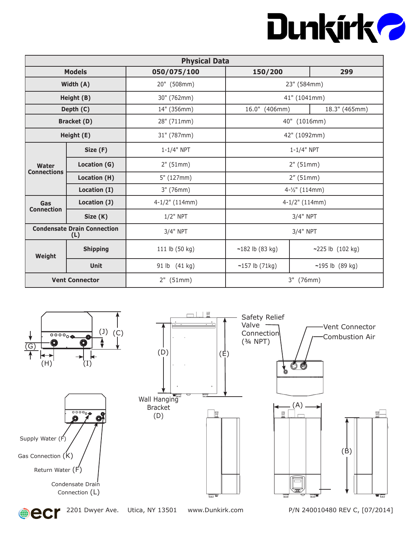## Dunkirk 2

| <b>Physical Data</b>     |                                                |                  |                   |                     |  |
|--------------------------|------------------------------------------------|------------------|-------------------|---------------------|--|
|                          | <b>Models</b><br>299<br>050/075/100<br>150/200 |                  |                   |                     |  |
|                          | Width (A)                                      | 20" (508mm)      |                   | 23" (584mm)         |  |
|                          | Height (B)                                     | 30" (762mm)      |                   | 41" (1041mm)        |  |
|                          | Depth (C)                                      | 14" (356mm)      | 16.0" (406mm)     | 18.3" (465mm)       |  |
|                          | <b>Bracket (D)</b>                             | 28" (711mm)      |                   | 40" (1016mm)        |  |
|                          | Height (E)                                     | 31" (787mm)      |                   | 42" (1092mm)        |  |
| Size (F)                 |                                                | $1 - 1/4"$ NPT   | $1 - 1/4"$ NPT    |                     |  |
| Water                    | Location (G)                                   | 2" (51mm)        | 2" (51mm)         |                     |  |
| <b>Connections</b>       | Location (H)                                   | 5" (127mm)       | 2''(51mm)         |                     |  |
|                          | Location (I)                                   | 3" (76mm)        | 4-1/2" (114mm)    |                     |  |
| Gas<br><b>Connection</b> | Location (J)                                   | $4-1/2"$ (114mm) |                   | $4-1/2$ " (114mm)   |  |
|                          | Size (K)                                       | $1/2$ " NPT      | 3/4" NPT          |                     |  |
|                          | <b>Condensate Drain Connection</b><br>(L)      | 3/4" NPT         | 3/4" NPT          |                     |  |
| Weight                   | <b>Shipping</b>                                | 111 lb (50 kg)   | $~182$ lb (83 kg) | ~225 lb $(102 kg)$  |  |
|                          | <b>Unit</b>                                    | 91 lb (41 kg)    | $~157$ lb (71kg)  | $-195$ lb $(89$ kg) |  |
|                          | <b>Vent Connector</b>                          | $2"$ (51mm)      | 3" (76mm)         |                     |  |



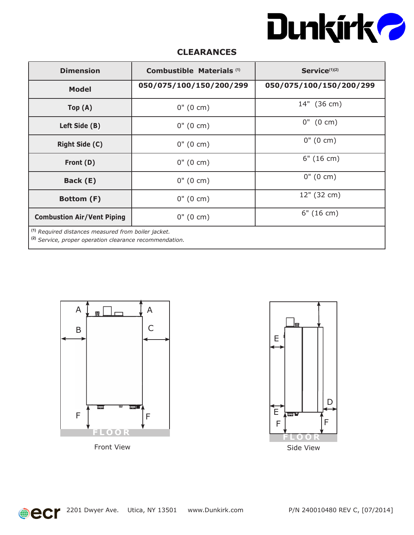

### **CLEARANCES**

| <b>Dimension</b>                                                                                                                     | Combustible Materials <sup>(1)</sup><br>Service <sup>(1)(2)</sup> |                     |  |  |
|--------------------------------------------------------------------------------------------------------------------------------------|-------------------------------------------------------------------|---------------------|--|--|
| <b>Model</b>                                                                                                                         | 050/075/100/150/200/299<br>050/075/100/150/200/299                |                     |  |  |
| Top(A)                                                                                                                               | $0''(0 \text{ cm})$                                               | 14" (36 cm)         |  |  |
| Left Side (B)                                                                                                                        | $0''(0 \text{ cm})$                                               | $0''$ (0 cm)        |  |  |
| <b>Right Side (C)</b>                                                                                                                | $0''(0 \text{ cm})$                                               | $0''(0 \text{ cm})$ |  |  |
| Front (D)                                                                                                                            | $0''(0 \text{ cm})$                                               | 6" (16 cm)          |  |  |
| Back (E)                                                                                                                             | $0''(0 \text{ cm})$                                               | $0''(0 \text{ cm})$ |  |  |
| Bottom (F)                                                                                                                           | $0''(0 \text{ cm})$                                               | 12" (32 cm)         |  |  |
| <b>Combustion Air/Vent Piping</b>                                                                                                    | $0''(0 \text{ cm})$                                               | 6" (16 cm)          |  |  |
| <sup>(1)</sup> Required distances measured from boiler jacket.<br><sup>(2)</sup> Service, proper operation clearance recommendation. |                                                                   |                     |  |  |







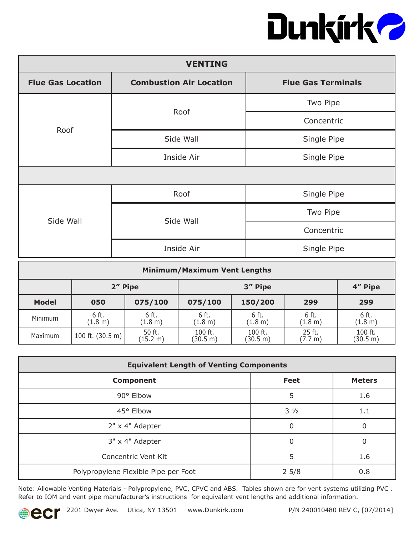# Dunkirk?

| <b>VENTING</b>           |                           |             |  |  |  |
|--------------------------|---------------------------|-------------|--|--|--|
| <b>Flue Gas Location</b> | <b>Flue Gas Terminals</b> |             |  |  |  |
|                          | Roof                      | Two Pipe    |  |  |  |
| Roof                     |                           | Concentric  |  |  |  |
|                          | Side Wall                 | Single Pipe |  |  |  |
|                          | Inside Air                | Single Pipe |  |  |  |
|                          |                           |             |  |  |  |
|                          | Roof                      | Single Pipe |  |  |  |
| Side Wall                | Side Wall                 | Two Pipe    |  |  |  |
|                          |                           | Concentric  |  |  |  |
|                          | Inside Air                | Single Pipe |  |  |  |

| <b>Minimum/Maximum Vent Lengths</b> |                            |                    |                     |                     |                   |                     |
|-------------------------------------|----------------------------|--------------------|---------------------|---------------------|-------------------|---------------------|
| 2" Pipe                             |                            |                    | 3" Pipe<br>4" Pipe  |                     |                   |                     |
| <b>Model</b>                        | 050                        | 075/100            | 075/100             | 150/200             | 299               | 299                 |
| Minimum                             | 6 ft.<br>(1.8 m)           | 6 ft.<br>(1.8 m)   | 6 ft.<br>(1.8 m)    | 6 ft.<br>(1.8 m)    | 6 ft.<br>(1.8 m)  | 6 ft.<br>(1.8 m)    |
| Maximum                             | 100 ft. $(30.5 \text{ m})$ | 50 ft.<br>(15.2 m) | 100 ft.<br>(30.5 m) | 100 ft.<br>(30.5 m) | 25 ft.<br>(7.7 m) | 100 ft.<br>(30.5 m) |

| <b>Equivalent Length of Venting Components</b> |                |               |  |  |
|------------------------------------------------|----------------|---------------|--|--|
| <b>Component</b>                               | <b>Feet</b>    | <b>Meters</b> |  |  |
| 90° Elbow                                      | 5              | 1.6           |  |  |
| 45° Elbow                                      | $3\frac{1}{2}$ | 1.1           |  |  |
| 2" x 4" Adapter                                | 0              | $\Omega$      |  |  |
| 3" x 4" Adapter                                | 0              | 0             |  |  |
| Concentric Vent Kit                            | 5              | 1.6           |  |  |
| Polypropylene Flexible Pipe per Foot           | $2\,5/8$       | 0.8           |  |  |

Note: Allowable Venting Materials - Polypropylene, PVC, CPVC and ABS. Tables shown are for vent systems utilizing PVC . Refer to IOM and vent pipe manufacturer's instructions for equivalent vent lengths and additional information.